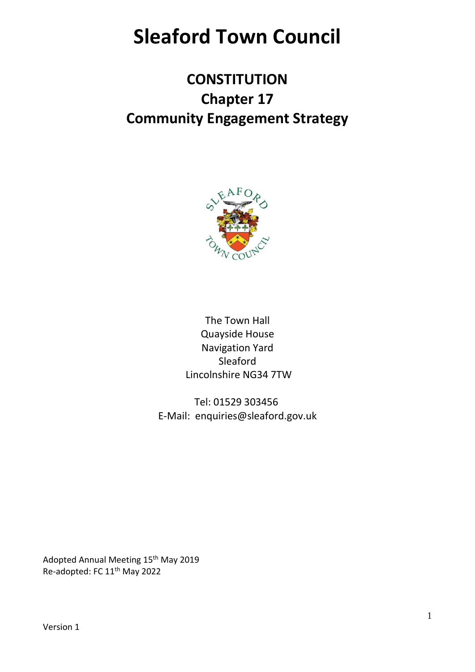# **Sleaford Town Council**

# **CONSTITUTION Chapter 17 Community Engagement Strategy**



The Town Hall Quayside House Navigation Yard Sleaford Lincolnshire NG34 7TW

Tel: 01529 303456 E-Mail: enquiries@sleaford.gov.uk

Adopted Annual Meeting 15<sup>th</sup> May 2019 Re-adopted: FC 11th May 2022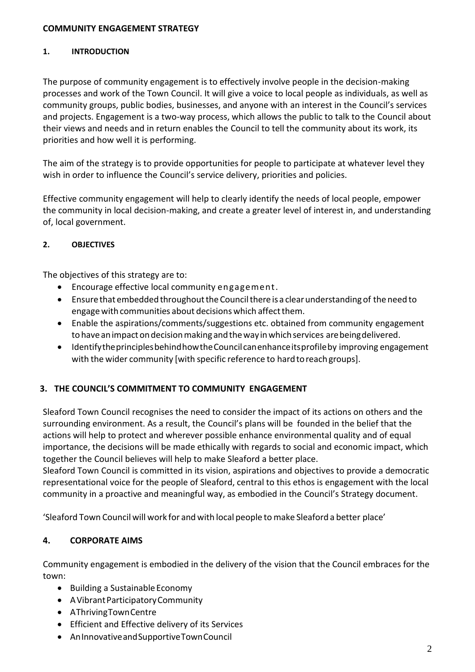#### **COMMUNITY ENGAGEMENT STRATEGY**

#### **1. INTRODUCTION**

The purpose of community engagement is to effectively involve people in the decision-making processes and work of the Town Council. It will give a voice to local people as individuals, as well as community groups, public bodies, businesses, and anyone with an interest in the Council's services and projects. Engagement is a two-way process, which allows the public to talk to the Council about their views and needs and in return enables the Council to tell the community about its work, its priorities and how well it is performing.

The aim of the strategy is to provide opportunities for people to participate at whatever level they wish in order to influence the Council's service delivery, priorities and policies.

Effective community engagement will help to clearly identify the needs of local people, empower the community in local decision-making, and create a greater level of interest in, and understanding of, local government.

#### **2. OBJECTIVES**

The objectives of this strategy are to:

- Encourage effective local community engagement.
- Ensure that embedded throughout the Council there is a clear understanding of the need to engage with communities about decisions which affect them.
- Enable the aspirations/comments/suggestions etc. obtained from community engagement to have an impact on decision making and the way in which services are being delivered.
- IdentifytheprinciplesbehindhowtheCouncilcanenhanceitsprofileby improving engagement with the wider community [with specific reference to hard to reach groups].

#### **3. THE COUNCIL'S COMMITMENT TO COMMUNITY ENGAGEMENT**

Sleaford Town Council recognises the need to consider the impact of its actions on others and the surrounding environment. As a result, the Council's plans will be founded in the belief that the actions will help to protect and wherever possible enhance environmental quality and of equal importance, the decisions will be made ethically with regards to social and economic impact, which together the Council believes will help to make Sleaford a better place.

Sleaford Town Council is committed in its vision, aspirations and objectives to provide a democratic representational voice for the people of Sleaford, central to this ethos is engagement with the local community in a proactive and meaningful way, as embodied in the Council's Strategy document.

'Sleaford Town Council will work for and with local people to make Sleaford a better place'

#### **4. CORPORATE AIMS**

Community engagement is embodied in the delivery of the vision that the Council embraces for the town:

- Building a Sustainable Economy
- AVibrantParticipatoryCommunity
- AThrivingTownCentre
- Efficient and Effective delivery of its Services
- AnInnovativeandSupportiveTownCouncil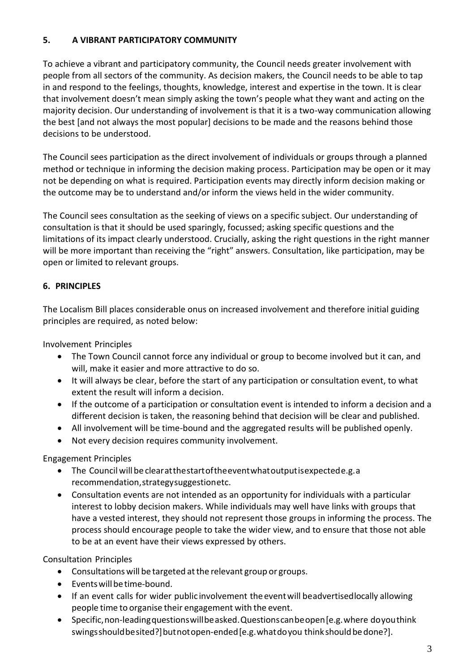### **5. A VIBRANT PARTICIPATORY COMMUNITY**

To achieve a vibrant and participatory community, the Council needs greater involvement with people from all sectors of the community. As decision makers, the Council needs to be able to tap in and respond to the feelings, thoughts, knowledge, interest and expertise in the town. It is clear that involvement doesn't mean simply asking the town's people what they want and acting on the majority decision. Our understanding of involvement is that it is a two-way communication allowing the best [and not always the most popular] decisions to be made and the reasons behind those decisions to be understood.

The Council sees participation as the direct involvement of individuals or groups through a planned method or technique in informing the decision making process. Participation may be open or it may not be depending on what is required. Participation events may directly inform decision making or the outcome may be to understand and/or inform the views held in the wider community.

The Council sees consultation as the seeking of views on a specific subject. Our understanding of consultation is that it should be used sparingly, focussed; asking specific questions and the limitations of its impact clearly understood. Crucially, asking the right questions in the right manner will be more important than receiving the "right" answers. Consultation, like participation, may be open or limited to relevant groups.

### **6. PRINCIPLES**

The Localism Bill places considerable onus on increased involvement and therefore initial guiding principles are required, as noted below:

Involvement Principles

- The Town Council cannot force any individual or group to become involved but it can, and will, make it easier and more attractive to do so.
- It will always be clear, before the start of any participation or consultation event, to what extent the result will inform a decision.
- If the outcome of a participation or consultation event is intended to inform a decision and a different decision is taken, the reasoning behind that decision will be clear and published.
- All involvement will be time-bound and the aggregated results will be published openly.
- Not every decision requires community involvement.

Engagement Principles

- The Councilwill be clearatthestartoftheeventwhatoutputisexpectede.g.a recommendation,strategysuggestionetc.
- Consultation events are not intended as an opportunity for individuals with a particular interest to lobby decision makers. While individuals may well have links with groups that have a vested interest, they should not represent those groups in informing the process. The process should encourage people to take the wider view, and to ensure that those not able to be at an event have their views expressed by others.

Consultation Principles

- Consultations will be targeted atthe relevant group or groups.
- Events will be time-bound.
- If an event calls for wider public involvement the event will beadvertisedlocally allowing people time to organise their engagement with the event.
- Specific,non-leadingquestionswillbeasked.Questionscanbeopen[e.g.where doyouthink swingsshould be sited?] but not open-ended [e.g. what do you think should be done?].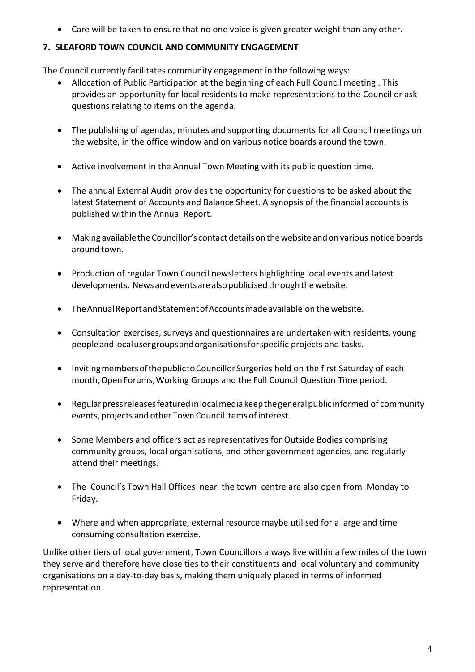• Care will be taken to ensure that no one voice is given greater weight than any other.

# **7. SLEAFORD TOWN COUNCIL AND COMMUNITY ENGAGEMENT**

The Council currently facilitates community engagement in the following ways:

- Allocation of Public Participation at the beginning of each Full Council meeting . This provides an opportunity for local residents to make representations to the Council or ask questions relating to items on the agenda.
- The publishing of agendas, minutes and supporting documents for all Council meetings on the website, in the office window and on various notice boards around the town.
- Active involvement in the Annual Town Meeting with its public question time.
- The annual External Audit provides the opportunity for questions to be asked about the latest Statement of Accounts and Balance Sheet. A synopsis of the financial accounts is published within the Annual Report.
- Making available theCouncillor's contact detailson thewebsite andon various notice boards around town.
- Production of regular Town Council newsletters highlighting local events and latest developments. News and events are also publicised through the website.
- TheAnnualReportandStatementofAccountsmadeavailable on the website.
- Consultation exercises, surveys and questionnaires are undertaken with residents, young peopleandlocalusergroupsandorganisationsforspecific projects and tasks.
- Inviting members of the publicto Councillor Surgeries held on the first Saturday of each month,OpenForums,Working Groups and the Full Council Question Time period.
- Regular press releases featured in local media keep the general public informed of community events, projects and other Town Council items of interest.
- Some Members and officers act as representatives for Outside Bodies comprising community groups, local organisations, and other government agencies, and regularly attend their meetings.
- The Council's Town Hall Offices near the town centre are also open from Monday to Friday.
- Where and when appropriate, external resource maybe utilised for a large and time consuming consultation exercise.

Unlike other tiers of local government, Town Councillors always live within a few miles of the town they serve and therefore have close ties to their constituents and local voluntary and community organisations on a day-to-day basis, making them uniquely placed in terms of informed representation.